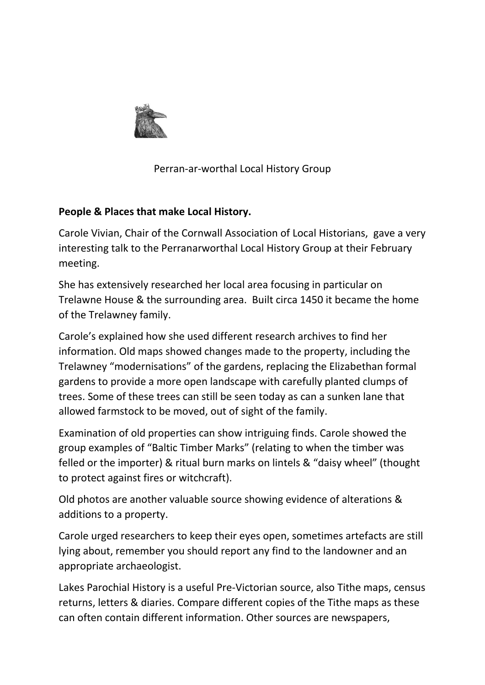

Perran-ar-worthal Local History Group

## **People & Places that make Local History.**

Carole Vivian, Chair of the Cornwall Association of Local Historians, gave a very interesting talk to the Perranarworthal Local History Group at their February meeting.

She has extensively researched her local area focusing in particular on Trelawne House & the surrounding area. Built circa 1450 it became the home of the Trelawney family.

Carole's explained how she used different research archives to find her information. Old maps showed changes made to the property, including the Trelawney "modernisations" of the gardens, replacing the Elizabethan formal gardens to provide a more open landscape with carefully planted clumps of trees. Some of these trees can still be seen today as can a sunken lane that allowed farmstock to be moved, out of sight of the family.

Examination of old properties can show intriguing finds. Carole showed the group examples of "Baltic Timber Marks" (relating to when the timber was felled or the importer) & ritual burn marks on lintels & "daisy wheel" (thought to protect against fires or witchcraft).

Old photos are another valuable source showing evidence of alterations & additions to a property.

Carole urged researchers to keep their eyes open, sometimes artefacts are still lying about, remember you should report any find to the landowner and an appropriate archaeologist.

Lakes Parochial History is a useful Pre-Victorian source, also Tithe maps, census returns, letters & diaries. Compare different copies of the Tithe maps as these can often contain different information. Other sources are newspapers,